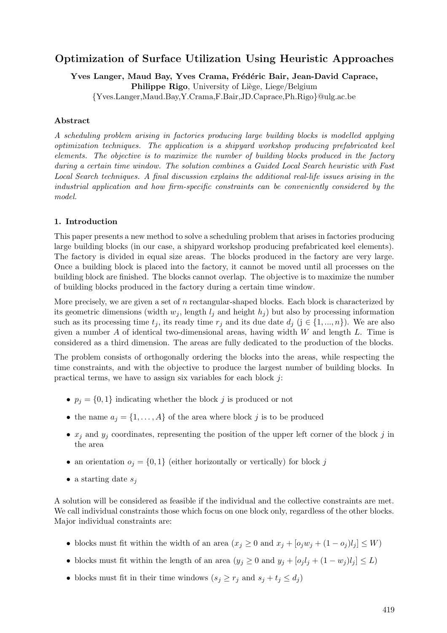# Optimization of Surface Utilization Using Heuristic Approaches

Yves Langer, Maud Bay, Yves Crama, Frédéric Bair, Jean-David Caprace, Philippe Rigo, University of Liège, Liege/Belgium {Yves.Langer,Maud.Bay,Y.Crama,F.Bair,JD.Caprace,Ph.Rigo}@ulg.ac.be

# Abstract

A scheduling problem arising in factories producing large building blocks is modelled applying optimization techniques. The application is a shipyard workshop producing prefabricated keel elements. The objective is to maximize the number of building blocks produced in the factory during a certain time window. The solution combines a Guided Local Search heuristic with Fast Local Search techniques. A final discussion explains the additional real-life issues arising in the industrial application and how firm-specific constraints can be conveniently considered by the model.

# 1. Introduction

This paper presents a new method to solve a scheduling problem that arises in factories producing large building blocks (in our case, a shipyard workshop producing prefabricated keel elements). The factory is divided in equal size areas. The blocks produced in the factory are very large. Once a building block is placed into the factory, it cannot be moved until all processes on the building block are finished. The blocks cannot overlap. The objective is to maximize the number of building blocks produced in the factory during a certain time window.

More precisely, we are given a set of n rectangular-shaped blocks. Each block is characterized by its geometric dimensions (width  $w_j$ , length  $l_j$  and height  $h_j$ ) but also by processing information such as its processing time  $t_j$ , its ready time  $r_j$  and its due date  $d_j$  (j  $\in \{1, ..., n\}$ ). We are also given a number  $A$  of identical two-dimensional areas, having width  $W$  and length  $L$ . Time is considered as a third dimension. The areas are fully dedicated to the production of the blocks.

The problem consists of orthogonally ordering the blocks into the areas, while respecting the time constraints, and with the objective to produce the largest number of building blocks. In practical terms, we have to assign six variables for each block j:

- $p_j = \{0, 1\}$  indicating whether the block j is produced or not
- the name  $a_j = \{1, \ldots, A\}$  of the area where block j is to be produced
- $x_j$  and  $y_j$  coordinates, representing the position of the upper left corner of the block j in the area
- an orientation  $o_j = \{0,1\}$  (either horizontally or vertically) for block j
- a starting date  $s_i$

A solution will be considered as feasible if the individual and the collective constraints are met. We call individual constraints those which focus on one block only, regardless of the other blocks. Major individual constraints are:

- blocks must fit within the width of an area  $(x_j \geq 0 \text{ and } x_j + [o_j w_j + (1 o_j) l_j] \leq W$
- blocks must fit within the length of an area  $(y_j \geq 0$  and  $y_j + [o_j l_j + (1 w_j) l_j] \leq L$ )
- blocks must fit in their time windows  $(s_i \geq r_i \text{ and } s_i + t_i \leq d_i)$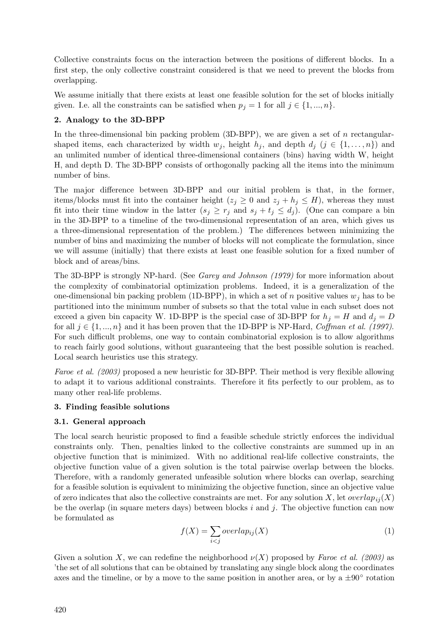Collective constraints focus on the interaction between the positions of different blocks. In a first step, the only collective constraint considered is that we need to prevent the blocks from overlapping.

We assume initially that there exists at least one feasible solution for the set of blocks initially given. I.e. all the constraints can be satisfied when  $p_j = 1$  for all  $j \in \{1, ..., n\}$ .

# 2. Analogy to the 3D-BPP

In the three-dimensional bin packing problem  $(3D-BPP)$ , we are given a set of n rectangularshaped items, each characterized by width  $w_j$ , height  $h_j$ , and depth  $d_j$  ( $j \in \{1, \ldots, n\}$ ) and an unlimited number of identical three-dimensional containers (bins) having width W, height H, and depth D. The 3D-BPP consists of orthogonally packing all the items into the minimum number of bins.

The major difference between 3D-BPP and our initial problem is that, in the former, items/blocks must fit into the container height ( $z_j \geq 0$  and  $z_j + h_j \leq H$ ), whereas they must fit into their time window in the latter  $(s_j \geq r_j \text{ and } s_j + t_j \leq d_j)$ . (One can compare a bin in the 3D-BPP to a timeline of the two-dimensional representation of an area, which gives us a three-dimensional representation of the problem.) The differences between minimizing the number of bins and maximizing the number of blocks will not complicate the formulation, since we will assume (initially) that there exists at least one feasible solution for a fixed number of block and of areas/bins.

The 3D-BPP is strongly NP-hard. (See Garey and Johnson (1979) for more information about the complexity of combinatorial optimization problems. Indeed, it is a generalization of the one-dimensional bin packing problem (1D-BPP), in which a set of n positive values  $w_i$  has to be partitioned into the minimum number of subsets so that the total value in each subset does not exceed a given bin capacity W. 1D-BPP is the special case of 3D-BPP for  $h_i = H$  and  $d_i = D$ for all  $j \in \{1, ..., n\}$  and it has been proven that the 1D-BPP is NP-Hard, Coffman et al. (1997). For such difficult problems, one way to contain combinatorial explosion is to allow algorithms to reach fairly good solutions, without guaranteeing that the best possible solution is reached. Local search heuristics use this strategy.

Faroe et al. (2003) proposed a new heuristic for 3D-BPP. Their method is very flexible allowing to adapt it to various additional constraints. Therefore it fits perfectly to our problem, as to many other real-life problems.

# 3. Finding feasible solutions

# 3.1. General approach

The local search heuristic proposed to find a feasible schedule strictly enforces the individual constraints only. Then, penalties linked to the collective constraints are summed up in an objective function that is minimized. With no additional real-life collective constraints, the objective function value of a given solution is the total pairwise overlap between the blocks. Therefore, with a randomly generated unfeasible solution where blocks can overlap, searching for a feasible solution is equivalent to minimizing the objective function, since an objective value of zero indicates that also the collective constraints are met. For any solution X, let  $overlap_{ii}(X)$ be the overlap (in square meters days) between blocks  $i$  and  $j$ . The objective function can now be formulated as

$$
f(X) = \sum_{i < j} overlap_{ij}(X) \tag{1}
$$

Given a solution X, we can redefine the neighborhood  $\nu(X)$  proposed by Faroe et al. (2003) as 'the set of all solutions that can be obtained by translating any single block along the coordinates axes and the timeline, or by a move to the same position in another area, or by a  $\pm 90^\circ$  rotation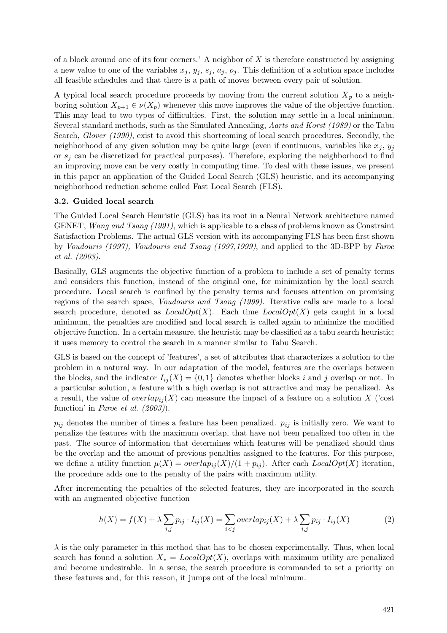of a block around one of its four corners.' A neighbor of  $X$  is therefore constructed by assigning a new value to one of the variables  $x_j$ ,  $y_j$ ,  $s_j$ ,  $a_j$ ,  $o_j$ . This definition of a solution space includes all feasible schedules and that there is a path of moves between every pair of solution.

A typical local search procedure proceeds by moving from the current solution  $X_p$  to a neighboring solution  $X_{p+1} \in \nu(X_p)$  whenever this move improves the value of the objective function. This may lead to two types of difficulties. First, the solution may settle in a local minimum. Several standard methods, such as the Simulated Annealing, Aarts and Korst (1989) or the Tabu Search, Glover (1990), exist to avoid this shortcoming of local search procedures. Secondly, the neighborhood of any given solution may be quite large (even if continuous, variables like  $x_j$ ,  $y_j$ or  $s_j$  can be discretized for practical purposes). Therefore, exploring the neighborhood to find an improving move can be very costly in computing time. To deal with these issues, we present in this paper an application of the Guided Local Search (GLS) heuristic, and its accompanying neighborhood reduction scheme called Fast Local Search (FLS).

# 3.2. Guided local search

The Guided Local Search Heuristic (GLS) has its root in a Neural Network architecture named GENET, *Wang and Tsang (1991)*, which is applicable to a class of problems known as Constraint Satisfaction Problems. The actual GLS version with its accompanying FLS has been first shown by Voudouris (1997), Voudouris and Tsang (1997,1999), and applied to the 3D-BPP by Faroe et al. (2003).

Basically, GLS augments the objective function of a problem to include a set of penalty terms and considers this function, instead of the original one, for minimization by the local search procedure. Local search is confined by the penalty terms and focuses attention on promising regions of the search space, Voudouris and Tsang (1999). Iterative calls are made to a local search procedure, denoted as  $LocalOpt(X)$ . Each time  $LocalOpt(X)$  gets caught in a local minimum, the penalties are modified and local search is called again to minimize the modified objective function. In a certain measure, the heuristic may be classified as a tabu search heuristic; it uses memory to control the search in a manner similar to Tabu Search.

GLS is based on the concept of 'features', a set of attributes that characterizes a solution to the problem in a natural way. In our adaptation of the model, features are the overlaps between the blocks, and the indicator  $I_{ij}(X) = \{0,1\}$  denotes whether blocks i and j overlap or not. In a particular solution, a feature with a high overlap is not attractive and may be penalized. As a result, the value of  $overlap_{ij}(X)$  can measure the impact of a feature on a solution X ('cost function' in Faroe et al. (2003)).

 $p_{ij}$  denotes the number of times a feature has been penalized.  $p_{ij}$  is initially zero. We want to penalize the features with the maximum overlap, that have not been penalized too often in the past. The source of information that determines which features will be penalized should thus be the overlap and the amount of previous penalties assigned to the features. For this purpose, we define a utility function  $\mu(X) = overlap_{ij}(X)/(1 + p_{ij})$ . After each  $LocalOpt(X)$  iteration, the procedure adds one to the penalty of the pairs with maximum utility.

After incrementing the penalties of the selected features, they are incorporated in the search with an augmented objective function

$$
h(X) = f(X) + \lambda \sum_{i,j} p_{ij} \cdot I_{ij}(X) = \sum_{i < j} overlap_{ij}(X) + \lambda \sum_{i,j} p_{ij} \cdot I_{ij}(X) \tag{2}
$$

 $\lambda$  is the only parameter in this method that has to be chosen experimentally. Thus, when local search has found a solution  $X_* = LocalOpt(X)$ , overlaps with maximum utility are penalized and become undesirable. In a sense, the search procedure is commanded to set a priority on these features and, for this reason, it jumps out of the local minimum.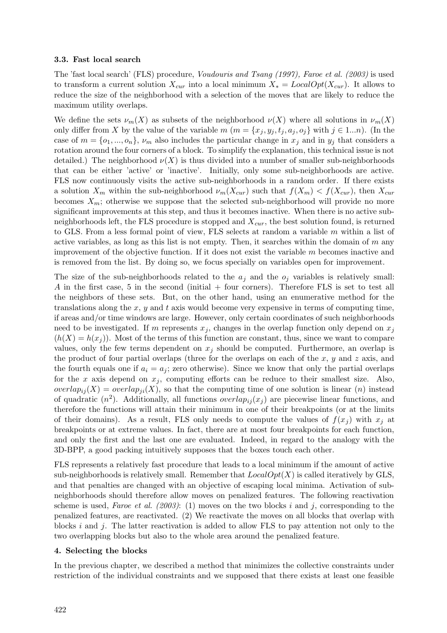#### 3.3. Fast local search

The 'fast local search' (FLS) procedure, Voudouris and Tsang (1997), Faroe et al. (2003) is used to transform a current solution  $X_{cur}$  into a local minimum  $X_* = LocalOpt(X_{cur})$ . It allows to reduce the size of the neighborhood with a selection of the moves that are likely to reduce the maximum utility overlaps.

We define the sets  $\nu_m(X)$  as subsets of the neighborhood  $\nu(X)$  where all solutions in  $\nu_m(X)$ only differ from X by the value of the variable  $m$   $(m = \{x_j, y_j, t_j, a_j, o_j\}$  with  $j \in 1...n$ ). (In the case of  $m = \{o_1, ..., o_n\}$ ,  $\nu_m$  also includes the particular change in  $x_j$  and in  $y_j$  that considers a rotation around the four corners of a block. To simplify the explanation, this technical issue is not detailed.) The neighborhood  $\nu(X)$  is thus divided into a number of smaller sub-neighborhoods that can be either 'active' or 'inactive'. Initially, only some sub-neighborhoods are active. FLS now continuously visits the active sub-neighborhoods in a random order. If there exists a solution  $X_m$  within the sub-neighborhood  $\nu_m(X_{cur})$  such that  $f(X_m) < f(X_{cur})$ , then  $X_{cur}$ becomes  $X_m$ ; otherwise we suppose that the selected sub-neighborhood will provide no more significant improvements at this step, and thus it becomes inactive. When there is no active subneighborhoods left, the FLS procedure is stopped and  $X_{cur}$ , the best solution found, is returned to GLS. From a less formal point of view, FLS selects at random a variable  $m$  within a list of active variables, as long as this list is not empty. Then, it searches within the domain of  $m$  any improvement of the objective function. If it does not exist the variable  $m$  becomes inactive and is removed from the list. By doing so, we focus specially on variables open for improvement.

The size of the sub-neighborhoods related to the  $a_i$  and the  $o_i$  variables is relatively small: A in the first case, 5 in the second (initial + four corners). Therefore FLS is set to test all the neighbors of these sets. But, on the other hand, using an enumerative method for the translations along the  $x, y$  and  $t$  axis would become very expensive in terms of computing time, if areas and/or time windows are large. However, only certain coordinates of such neighborhoods need to be investigated. If m represents  $x_j$ , changes in the overlap function only depend on  $x_j$  $(h(X) = h(x_i))$ . Most of the terms of this function are constant, thus, since we want to compare values, only the few terms dependent on  $x_j$  should be computed. Furthermore, an overlap is the product of four partial overlaps (three for the overlaps on each of the  $x, y$  and  $z$  axis, and the fourth equals one if  $a_i = a_j$ ; zero otherwise). Since we know that only the partial overlaps for the x axis depend on  $x_j$ , computing efforts can be reduce to their smallest size. Also, overlap<sub>ij</sub> $(X)$  = overlap<sub>ij</sub> $(X)$ , so that the computing time of one solution is linear (n) instead of quadratic  $(n^2)$ . Additionally, all functions *overlap<sub>ij</sub>* $(x_j)$  are piecewise linear functions, and therefore the functions will attain their minimum in one of their breakpoints (or at the limits of their domains). As a result, FLS only needs to compute the values of  $f(x_i)$  with  $x_i$  at breakpoints or at extreme values. In fact, there are at most four breakpoints for each function, and only the first and the last one are evaluated. Indeed, in regard to the analogy with the 3D-BPP, a good packing intuitively supposes that the boxes touch each other.

FLS represents a relatively fast procedure that leads to a local minimum if the amount of active sub-neighborhoods is relatively small. Remember that  $LocalOpt(X)$  is called iteratively by GLS, and that penalties are changed with an objective of escaping local minima. Activation of subneighborhoods should therefore allow moves on penalized features. The following reactivation scheme is used, Faroe et al. (2003): (1) moves on the two blocks i and j, corresponding to the penalized features, are reactivated. (2) We reactivate the moves on all blocks that overlap with blocks i and j. The latter reactivation is added to allow FLS to pay attention not only to the two overlapping blocks but also to the whole area around the penalized feature.

#### 4. Selecting the blocks

In the previous chapter, we described a method that minimizes the collective constraints under restriction of the individual constraints and we supposed that there exists at least one feasible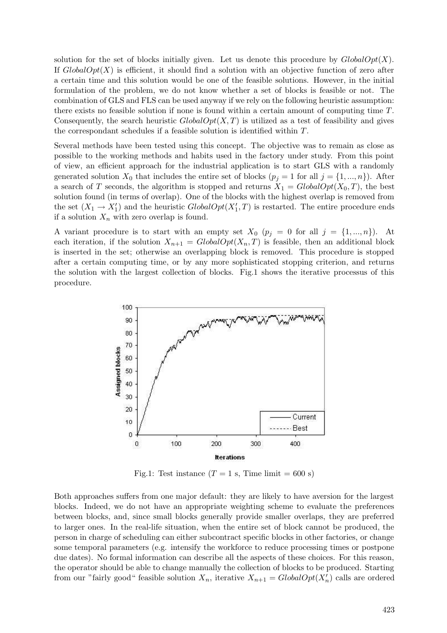solution for the set of blocks initially given. Let us denote this procedure by  $GlobalOpt(X)$ . If  $GlobalOpt(X)$  is efficient, it should find a solution with an objective function of zero after a certain time and this solution would be one of the feasible solutions. However, in the initial formulation of the problem, we do not know whether a set of blocks is feasible or not. The combination of GLS and FLS can be used anyway if we rely on the following heuristic assumption: there exists no feasible solution if none is found within a certain amount of computing time T. Consequently, the search heuristic  $GlobalOpt(X, T)$  is utilized as a test of feasibility and gives the correspondant schedules if a feasible solution is identified within T.

Several methods have been tested using this concept. The objective was to remain as close as possible to the working methods and habits used in the factory under study. From this point of view, an efficient approach for the industrial application is to start GLS with a randomly generated solution  $X_0$  that includes the entire set of blocks  $(p_i = 1$  for all  $j = \{1, ..., n\})$ . After a search of T seconds, the algorithm is stopped and returns  $X_1 = GlobalOpt(X_0, T)$ , the best solution found (in terms of overlap). One of the blocks with the highest overlap is removed from the set  $(X_1 \rightarrow X_1')$  and the heuristic  $GlobalOpt(X_1', T)$  is restarted. The entire procedure ends if a solution  $X_n$  with zero overlap is found.

A variant procedure is to start with an empty set  $X_0$   $(p_j = 0 \text{ for all } j = \{1, ..., n\})$ . At each iteration, if the solution  $X_{n+1} = GlobalOpt(X_n, T)$  is feasible, then an additional block is inserted in the set; otherwise an overlapping block is removed. This procedure is stopped after a certain computing time, or by any more sophisticated stopping criterion, and returns the solution with the largest collection of blocks. Fig.1 shows the iterative processus of this procedure.



Fig.1: Test instance  $(T = 1 \text{ s}, \text{Time limit} = 600 \text{ s})$ 

Both approaches suffers from one major default: they are likely to have aversion for the largest blocks. Indeed, we do not have an appropriate weighting scheme to evaluate the preferences between blocks, and, since small blocks generally provide smaller overlaps, they are preferred to larger ones. In the real-life situation, when the entire set of block cannot be produced, the person in charge of scheduling can either subcontract specific blocks in other factories, or change some temporal parameters (e.g. intensify the workforce to reduce processing times or postpone due dates). No formal information can describe all the aspects of these choices. For this reason, the operator should be able to change manually the collection of blocks to be produced. Starting from our "fairly good" feasible solution  $X_n$ , iterative  $X_{n+1} = GlobalOpt(X'_n)$  calls are ordered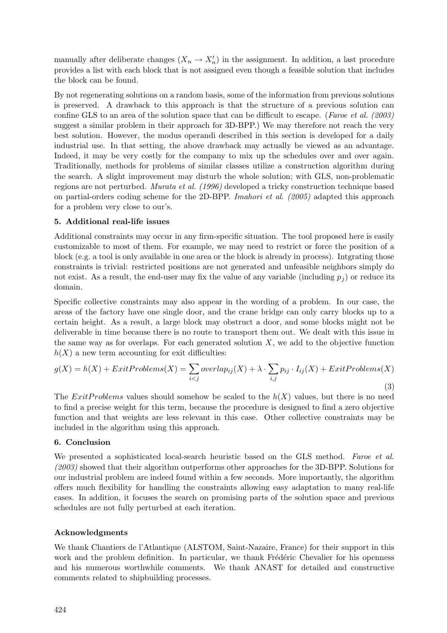manually after deliberate changes  $(X_n \to X'_n)$  in the assignment. In addition, a last procedure provides a list with each block that is not assigned even though a feasible solution that includes the block can be found.

By not regenerating solutions on a random basis, some of the information from previous solutions is preserved. A drawback to this approach is that the structure of a previous solution can confine GLS to an area of the solution space that can be difficult to escape. (Faroe et al. (2003) suggest a similar problem in their approach for 3D-BPP.) We may therefore not reach the very best solution. However, the modus operandi described in this section is developed for a daily industrial use. In that setting, the above drawback may actually be viewed as an advantage. Indeed, it may be very costly for the company to mix up the schedules over and over again. Traditionally, methods for problems of similar classes utilize a construction algorithm during the search. A slight improvement may disturb the whole solution; with GLS, non-problematic regions are not perturbed. Murata et al. (1996) developed a tricky construction technique based on partial-orders coding scheme for the 2D-BPP. Imahori et al. (2005) adapted this approach for a problem very close to our's.

# 5. Additional real-life issues

Additional constraints may occur in any firm-specific situation. The tool proposed here is easily customizable to most of them. For example, we may need to restrict or force the position of a block (e.g. a tool is only available in one area or the block is already in process). Intgrating those constraints is trivial: restricted positions are not generated and unfeasible neighbors simply do not exist. As a result, the end-user may fix the value of any variable (including  $p_j$ ) or reduce its domain.

Specific collective constraints may also appear in the wording of a problem. In our case, the areas of the factory have one single door, and the crane bridge can only carry blocks up to a certain height. As a result, a large block may obstruct a door, and some blocks might not be deliverable in time because there is no route to transport them out. We dealt with this issue in the same way as for overlaps. For each generated solution  $X$ , we add to the objective function  $h(X)$  a new term accounting for exit difficulties:

$$
g(X) = h(X) + Ext1Problems(X) = \sum_{i < j} overlap_{ij}(X) + \lambda \cdot \sum_{i,j} p_{ij} \cdot I_{ij}(X) + Ext1Problems(X)
$$
\n
$$
\tag{3}
$$

The ExitProblems values should somehow be scaled to the  $h(X)$  values, but there is no need to find a precise weight for this term, because the procedure is designed to find a zero objective function and that weights are less relevant in this case. Other collective constraints may be included in the algorithm using this approach.

# 6. Conclusion

We presented a sophisticated local-search heuristic based on the GLS method. Faroe et al. (2003) showed that their algorithm outperforms other approaches for the 3D-BPP. Solutions for our industrial problem are indeed found within a few seconds. More importantly, the algorithm offers much flexibility for handling the constraints allowing easy adaptation to many real-life cases. In addition, it focuses the search on promising parts of the solution space and previous schedules are not fully perturbed at each iteration.

# Acknowledgments

We thank Chantiers de l'Atlantique (ALSTOM, Saint-Nazaire, France) for their support in this work and the problem definition. In particular, we thank Frédéric Chevalier for his openness and his numerous worthwhile comments. We thank ANAST for detailed and constructive comments related to shipbuilding processes.